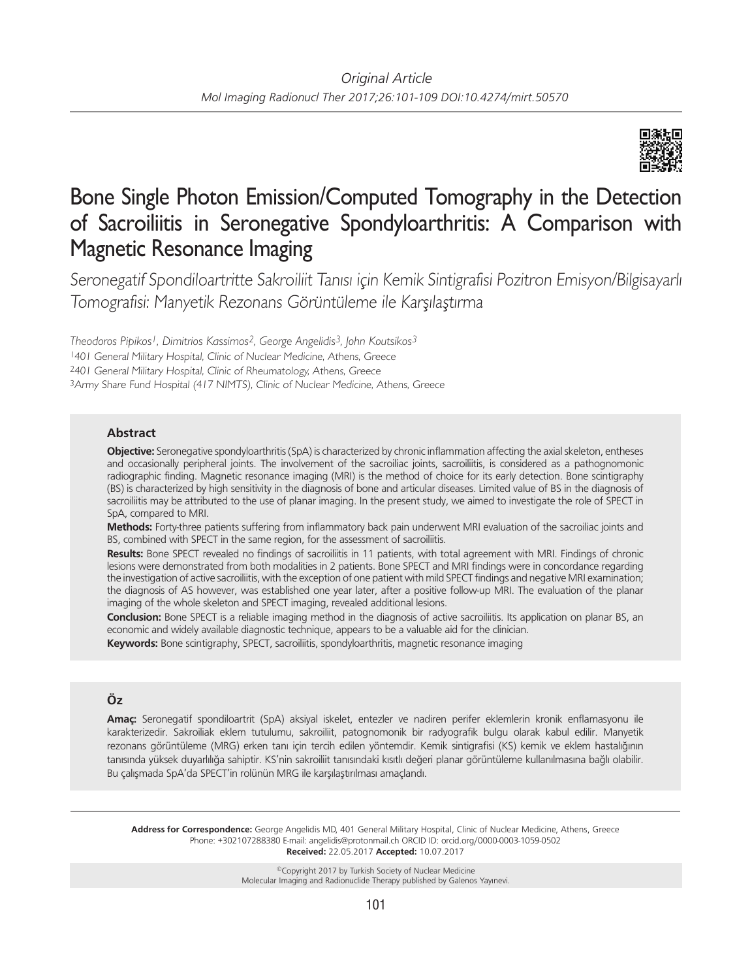

# Bone Single Photon Emission/Computed Tomography in the Detection of Sacroiliitis in Seronegative Spondyloarthritis: A Comparison with Magnetic Resonance Imaging

Seronegatif Spondiloartritte Sakroiliit Tanısı için Kemik Sintigrafisi Pozitron Emisyon/Bilgisayarlı Tomografisi: Manyetik Rezonans Görüntüleme ile Karşılaştırma

*Theodoros Pipikos1, Dimitrios Kassimos2, George Angelidis3, John Koutsikos3* 401 General Military Hospital, Clinic of Nuclear Medicine, Athens, Greece 401 General Military Hospital, Clinic of Rheumatology, Athens, Greece Army Share Fund Hospital (417 NIMTS), Clinic of Nuclear Medicine, Athens, Greece

## **Abstract**

**Objective:** Seronegative spondyloarthritis (SpA) is characterized by chronic inflammation affecting the axial skeleton, entheses and occasionally peripheral joints. The involvement of the sacroiliac joints, sacroiliitis, is considered as a pathognomonic radiographic finding. Magnetic resonance imaging (MRI) is the method of choice for its early detection. Bone scintigraphy (BS) is characterized by high sensitivity in the diagnosis of bone and articular diseases. Limited value of BS in the diagnosis of sacroiliitis may be attributed to the use of planar imaging. In the present study, we aimed to investigate the role of SPECT in SpA, compared to MRI.

**Methods:** Forty-three patients suffering from inflammatory back pain underwent MRI evaluation of the sacroiliac joints and BS, combined with SPECT in the same region, for the assessment of sacroiliitis.

**Results:** Bone SPECT revealed no findings of sacroiliitis in 11 patients, with total agreement with MRI. Findings of chronic lesions were demonstrated from both modalities in 2 patients. Bone SPECT and MRI findings were in concordance regarding the investigation of active sacroiliitis, with the exception of one patient with mild SPECT findings and negative MRI examination; the diagnosis of AS however, was established one year later, after a positive follow-up MRI. The evaluation of the planar imaging of the whole skeleton and SPECT imaging, revealed additional lesions.

**Conclusion:** Bone SPECT is a reliable imaging method in the diagnosis of active sacroiliitis. Its application on planar BS, an economic and widely available diagnostic technique, appears to be a valuable aid for the clinician.

**Keywords:** Bone scintigraphy, SPECT, sacroiliitis, spondyloarthritis, magnetic resonance imaging

# **Öz**

**Amaç:** Seronegatif spondiloartrit (SpA) aksiyal iskelet, entezler ve nadiren perifer eklemlerin kronik enflamasyonu ile karakterizedir. Sakroiliak eklem tutulumu, sakroiliit, patognomonik bir radyografik bulgu olarak kabul edilir. Manyetik rezonans görüntüleme (MRG) erken tanı için tercih edilen yöntemdir. Kemik sintigrafisi (KS) kemik ve eklem hastalığının tanısında yüksek duyarlılığa sahiptir. KS'nin sakroiliit tanısındaki kısıtlı değeri planar görüntüleme kullanılmasına bağlı olabilir. Bu çalışmada SpA'da SPECT'in rolünün MRG ile karşılaştırılması amaçlandı.

**Address for Correspondence:** George Angelidis MD, 401 General Military Hospital, Clinic of Nuclear Medicine, Athens, Greece Phone: +302107288380 E-mail: angelidis@protonmail.ch ORCID ID: orcid.org/0000-0003-1059-0502 **Received:** 22.05.2017 **Accepted:** 10.07.2017

> ©Copyright 2017 by Turkish Society of Nuclear Medicine Molecular Imaging and Radionuclide Therapy published by Galenos Yayınevi.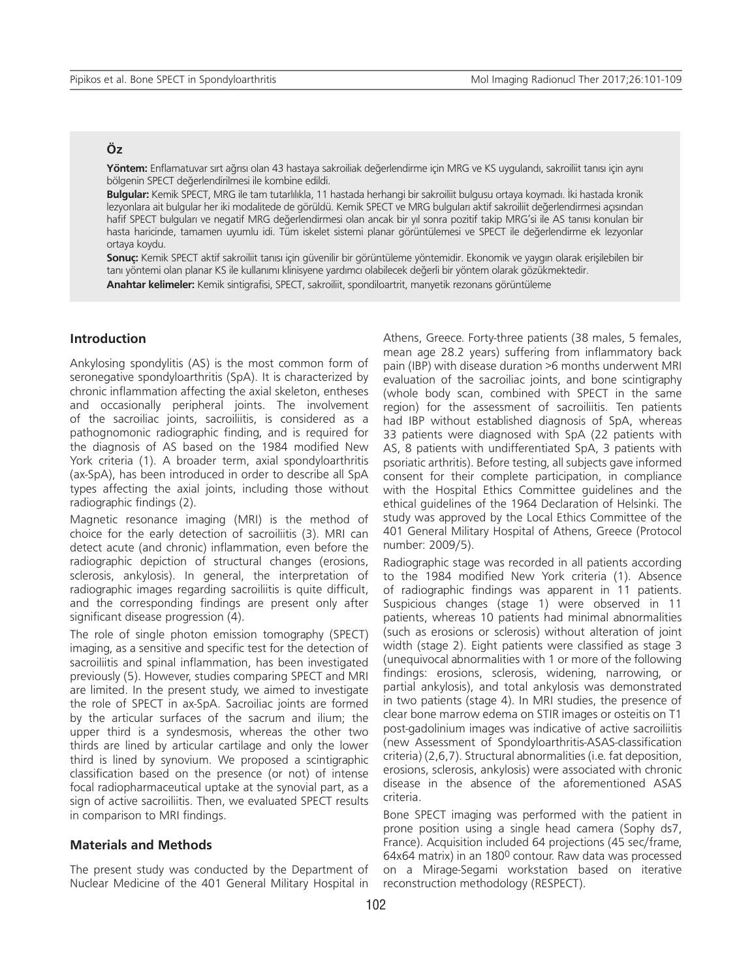# **Öz**

**Yöntem:** Enflamatuvar sırt ağrısı olan 43 hastaya sakroiliak değerlendirme için MRG ve KS uygulandı, sakroiliit tanısı için aynı bölgenin SPECT değerlendirilmesi ile kombine edildi.

**Bulgular:** Kemik SPECT, MRG ile tam tutarlılıkla, 11 hastada herhangi bir sakroiliit bulgusu ortaya koymadı. İki hastada kronik lezyonlara ait bulgular her iki modalitede de görüldü. Kemik SPECT ve MRG bulguları aktif sakroiliit değerlendirmesi açısından hafif SPECT bulguları ve negatif MRG değerlendirmesi olan ancak bir yıl sonra pozitif takip MRG'si ile AS tanısı konulan bir hasta haricinde, tamamen uyumlu idi. Tüm iskelet sistemi planar görüntülemesi ve SPECT ile değerlendirme ek lezyonlar ortaya koydu.

**Sonuç:** Kemik SPECT aktif sakroiliit tanısı için güvenilir bir görüntüleme yöntemidir. Ekonomik ve yaygın olarak erişilebilen bir tanı yöntemi olan planar KS ile kullanımı klinisyene yardımcı olabilecek değerli bir yöntem olarak gözükmektedir.

**Anahtar kelimeler:** Kemik sintigrafisi, SPECT, sakroiliit, spondiloartrit, manyetik rezonans görüntüleme

## **Introduction**

Ankylosing spondylitis (AS) is the most common form of seronegative spondyloarthritis (SpA). It is characterized by chronic inflammation affecting the axial skeleton, entheses and occasionally peripheral joints. The involvement of the sacroiliac joints, sacroiliitis, is considered as a pathognomonic radiographic finding, and is required for the diagnosis of AS based on the 1984 modified New York criteria (1). A broader term, axial spondyloarthritis (ax-SpA), has been introduced in order to describe all SpA types affecting the axial joints, including those without radiographic findings (2).

Magnetic resonance imaging (MRI) is the method of choice for the early detection of sacroiliitis (3). MRI can detect acute (and chronic) inflammation, even before the radiographic depiction of structural changes (erosions, sclerosis, ankylosis). In general, the interpretation of radiographic images regarding sacroiliitis is quite difficult, and the corresponding findings are present only after significant disease progression (4).

The role of single photon emission tomography (SPECT) imaging, as a sensitive and specific test for the detection of sacroiliitis and spinal inflammation, has been investigated previously (5). However, studies comparing SPECT and MRI are limited. In the present study, we aimed to investigate the role of SPECT in ax-SpA. Sacroiliac joints are formed by the articular surfaces of the sacrum and ilium; the upper third is a syndesmosis, whereas the other two thirds are lined by articular cartilage and only the lower third is lined by synovium. We proposed a scintigraphic classification based on the presence (or not) of intense focal radiopharmaceutical uptake at the synovial part, as a sign of active sacroiliitis. Then, we evaluated SPECT results in comparison to MRI findings.

#### **Materials and Methods**

The present study was conducted by the Department of Nuclear Medicine of the 401 General Military Hospital in Athens, Greece. Forty-three patients (38 males, 5 females, mean age 28.2 years) suffering from inflammatory back pain (IBP) with disease duration >6 months underwent MRI evaluation of the sacroiliac joints, and bone scintigraphy (whole body scan, combined with SPECT in the same region) for the assessment of sacroiliitis. Ten patients had IBP without established diagnosis of SpA, whereas 33 patients were diagnosed with SpA (22 patients with AS, 8 patients with undifferentiated SpA, 3 patients with psoriatic arthritis). Before testing, all subjects gave informed consent for their complete participation, in compliance with the Hospital Ethics Committee guidelines and the ethical guidelines of the 1964 Declaration of Helsinki. The study was approved by the Local Ethics Committee of the 401 General Military Hospital of Athens, Greece (Protocol number: 2009/5).

Radiographic stage was recorded in all patients according to the 1984 modified New York criteria (1). Absence of radiographic findings was apparent in 11 patients. Suspicious changes (stage 1) were observed in 11 patients, whereas 10 patients had minimal abnormalities (such as erosions or sclerosis) without alteration of joint width (stage 2). Eight patients were classified as stage 3 (unequivocal abnormalities with 1 or more of the following findings: erosions, sclerosis, widening, narrowing, or partial ankylosis), and total ankylosis was demonstrated in two patients (stage 4). In MRI studies, the presence of clear bone marrow edema on STIR images or osteitis on T1 post-gadolinium images was indicative of active sacroiliitis (new Assessment of Spondyloarthritis-ASAS-classification criteria) (2,6,7). Structural abnormalities (i.e. fat deposition, erosions, sclerosis, ankylosis) were associated with chronic disease in the absence of the aforementioned ASAS criteria.

Bone SPECT imaging was performed with the patient in prone position using a single head camera (Sophy ds7, France). Acquisition included 64 projections (45 sec/frame, 64x64 matrix) in an 1800 contour. Raw data was processed on a Mirage-Segami workstation based on iterative reconstruction methodology (RESPECT).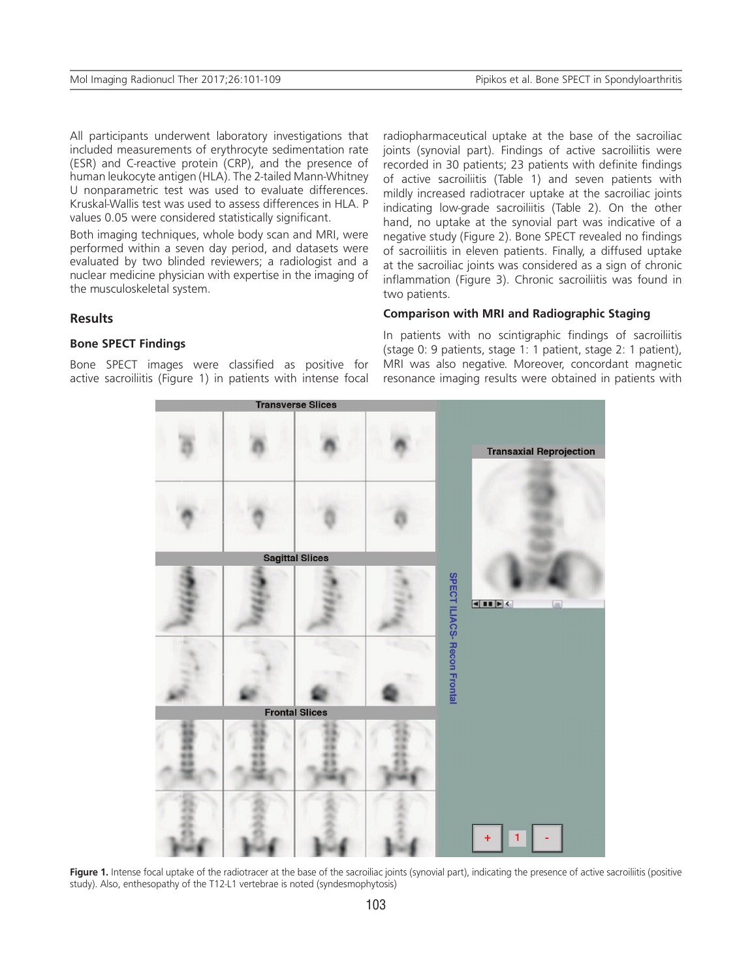All participants underwent laboratory investigations that included measurements of erythrocyte sedimentation rate (ESR) and C-reactive protein (CRP), and the presence of human leukocyte antigen (HLA). The 2-tailed Mann-Whitney U nonparametric test was used to evaluate differences. Kruskal-Wallis test was used to assess differences in HLA. P values 0.05 were considered statistically significant.

Both imaging techniques, whole body scan and MRI, were performed within a seven day period, and datasets were evaluated by two blinded reviewers; a radiologist and a nuclear medicine physician with expertise in the imaging of the musculoskeletal system.

**Results**

## **Bone SPECT Findings**

Bone SPECT images were classified as positive for active sacroiliitis (Figure 1) in patients with intense focal radiopharmaceutical uptake at the base of the sacroiliac joints (synovial part). Findings of active sacroiliitis were recorded in 30 patients; 23 patients with definite findings of active sacroiliitis (Table 1) and seven patients with mildly increased radiotracer uptake at the sacroiliac joints indicating low-grade sacroiliitis (Table 2). On the other hand, no uptake at the synovial part was indicative of a negative study (Figure 2). Bone SPECT revealed no findings of sacroiliitis in eleven patients. Finally, a diffused uptake at the sacroiliac joints was considered as a sign of chronic inflammation (Figure 3). Chronic sacroiliitis was found in two patients.

## **Comparison with MRI and Radiographic Staging**

In patients with no scintigraphic findings of sacroiliitis (stage 0: 9 patients, stage 1: 1 patient, stage 2: 1 patient), MRI was also negative. Moreover, concordant magnetic resonance imaging results were obtained in patients with



Fiqure 1. Intense focal uptake of the radiotracer at the base of the sacroiliac joints (synovial part), indicating the presence of active sacroiliitis (positive study). Also, enthesopathy of the T12-L1 vertebrae is noted (syndesmophytosis)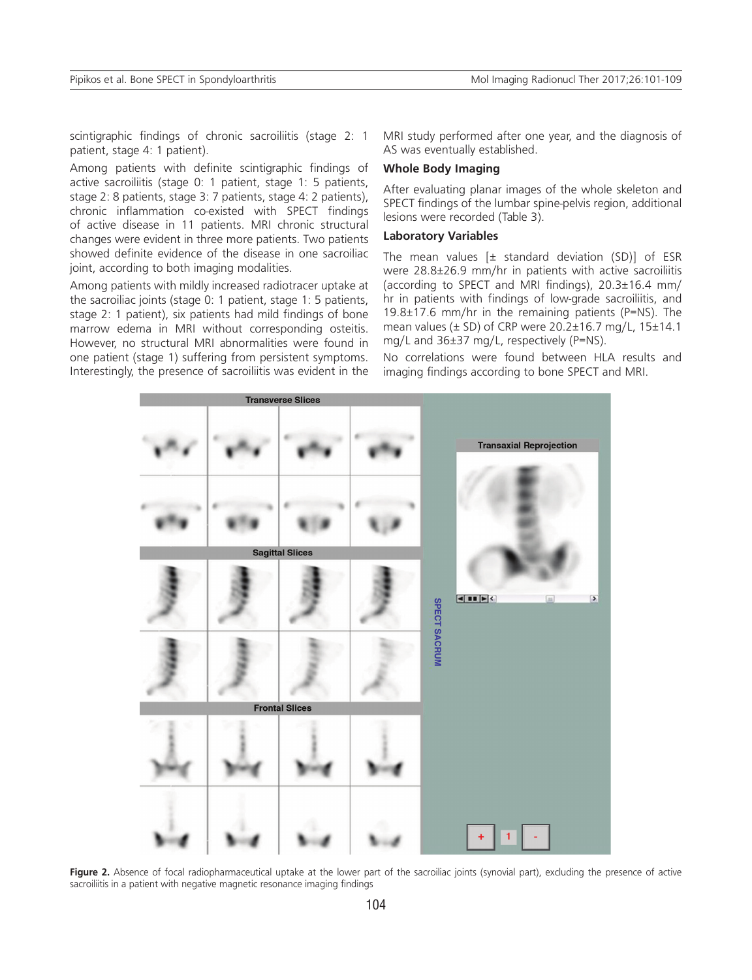scintigraphic findings of chronic sacroiliitis (stage 2: 1 patient, stage 4: 1 patient).

Among patients with definite scintigraphic findings of active sacroiliitis (stage 0: 1 patient, stage 1: 5 patients, stage 2: 8 patients, stage 3: 7 patients, stage 4: 2 patients), chronic inflammation co-existed with SPECT findings of active disease in 11 patients. MRI chronic structural changes were evident in three more patients. Two patients showed definite evidence of the disease in one sacroiliac joint, according to both imaging modalities.

Among patients with mildly increased radiotracer uptake at the sacroiliac joints (stage 0: 1 patient, stage 1: 5 patients, stage 2: 1 patient), six patients had mild findings of bone marrow edema in MRI without corresponding osteitis. However, no structural MRI abnormalities were found in one patient (stage 1) suffering from persistent symptoms. Interestingly, the presence of sacroiliitis was evident in the MRI study performed after one year, and the diagnosis of AS was eventually established.

## **Whole Body Imaging**

After evaluating planar images of the whole skeleton and SPECT findings of the lumbar spine-pelvis region, additional lesions were recorded (Table 3).

## **Laboratory Variables**

The mean values  $[\pm$  standard deviation (SD)] of ESR were 28.8±26.9 mm/hr in patients with active sacroiliitis (according to SPECT and MRI findings), 20.3±16.4 mm/ hr in patients with findings of low-grade sacroiliitis, and 19.8±17.6 mm/hr in the remaining patients (P=NS). The mean values ( $\pm$  SD) of CRP were 20.2 $\pm$ 16.7 mg/L, 15 $\pm$ 14.1 mg/L and 36±37 mg/L, respectively (P=NS).

No correlations were found between HLA results and imaging findings according to bone SPECT and MRI.



Figure 2. Absence of focal radiopharmaceutical uptake at the lower part of the sacroiliac joints (synovial part), excluding the presence of active sacroiliitis in a patient with negative magnetic resonance imaging findings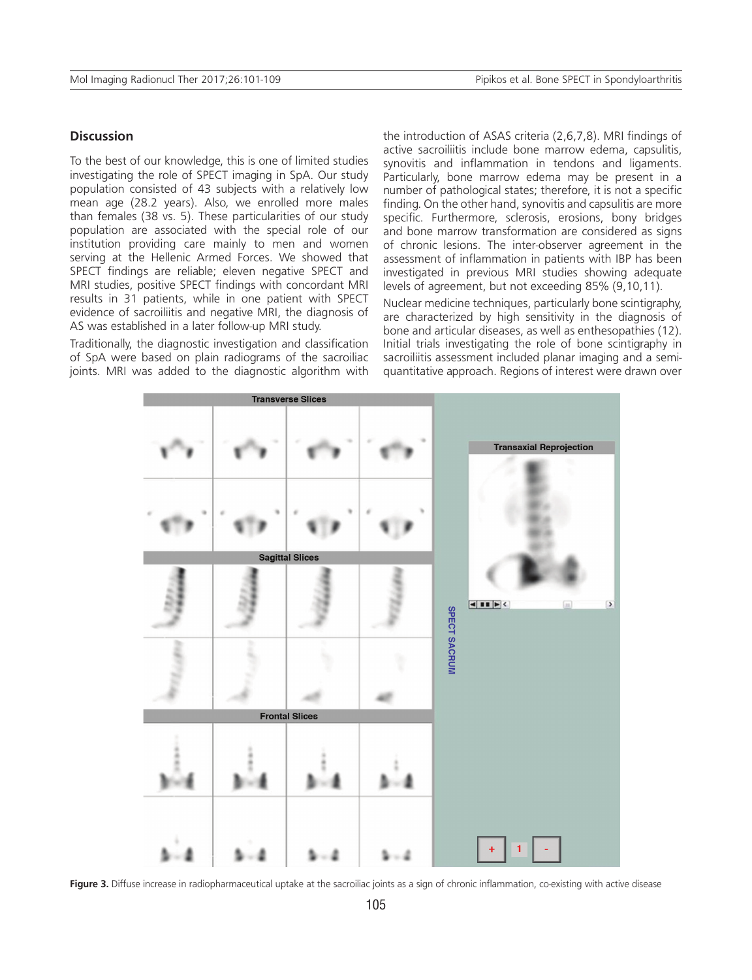## **Discussion**

To the best of our knowledge, this is one of limited studies investigating the role of SPECT imaging in SpA. Our study population consisted of 43 subjects with a relatively low mean age (28.2 years). Also, we enrolled more males than females (38 vs. 5). These particularities of our study population are associated with the special role of our institution providing care mainly to men and women serving at the Hellenic Armed Forces. We showed that SPECT findings are reliable; eleven negative SPECT and MRI studies, positive SPECT findings with concordant MRI results in 31 patients, while in one patient with SPECT evidence of sacroiliitis and negative MRI, the diagnosis of AS was established in a later follow-up MRI study.

Traditionally, the diagnostic investigation and classification of SpA were based on plain radiograms of the sacroiliac joints. MRI was added to the diagnostic algorithm with the introduction of ASAS criteria (2,6,7,8). MRI findings of active sacroiliitis include bone marrow edema, capsulitis, synovitis and inflammation in tendons and ligaments. Particularly, bone marrow edema may be present in a number of pathological states; therefore, it is not a specific finding. On the other hand, synovitis and capsulitis are more specific. Furthermore, sclerosis, erosions, bony bridges and bone marrow transformation are considered as signs of chronic lesions. The inter-observer agreement in the assessment of inflammation in patients with IBP has been investigated in previous MRI studies showing adequate levels of agreement, but not exceeding 85% (9,10,11).

Nuclear medicine techniques, particularly bone scintigraphy, are characterized by high sensitivity in the diagnosis of bone and articular diseases, as well as enthesopathies (12). Initial trials investigating the role of bone scintigraphy in sacroiliitis assessment included planar imaging and a semiquantitative approach. Regions of interest were drawn over



Figure 3. Diffuse increase in radiopharmaceutical uptake at the sacroiliac joints as a sign of chronic inflammation, co-existing with active disease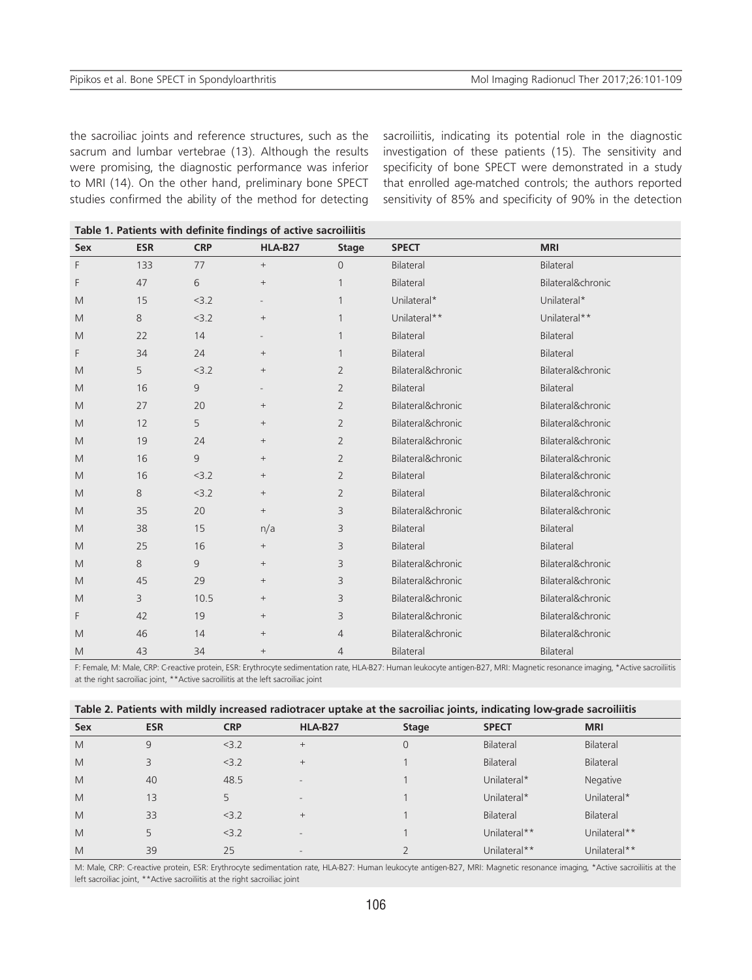the sacroiliac joints and reference structures, such as the sacrum and lumbar vertebrae (13). Although the results were promising, the diagnostic performance was inferior to MRI (14). On the other hand, preliminary bone SPECT studies confirmed the ability of the method for detecting

sacroiliitis, indicating its potential role in the diagnostic investigation of these patients (15). The sensitivity and specificity of bone SPECT were demonstrated in a study that enrolled age-matched controls; the authors reported sensitivity of 85% and specificity of 90% in the detection

| Sex | <b>ESR</b> | <b>CRP</b>     | <b>HLA-B27</b>  | <b>Stage</b>   | <b>SPECT</b>      | <b>MRI</b>        |
|-----|------------|----------------|-----------------|----------------|-------------------|-------------------|
| F   | 133        | 77             | $\! + \!\!\!\!$ | $\Omega$       | <b>Bilateral</b>  | Bilateral         |
| F   | 47         | 6              | $\! + \!\!\!\!$ |                | Bilateral         | Bilateral&chronic |
| M   | 15         | < 3.2          | $\overline{a}$  |                | Unilateral*       | Unilateral*       |
| M   | 8          | < 3.2          | $\! + \!\!\!\!$ | $\mathbf{1}$   | Unilateral**      | Unilateral**      |
| M   | 22         | 14             | $\overline{a}$  | 1              | Bilateral         | Bilateral         |
| F   | 34         | 24             | $\! + \!\!\!\!$ | 1              | <b>Bilateral</b>  | Bilateral         |
| M   | 5          | < 3.2          | $\! + \!\!\!\!$ | 2              | Bilateral&chronic | Bilateral&chronic |
| M   | 16         | $\overline{9}$ |                 | $\overline{2}$ | Bilateral         | Bilateral         |
| M   | 27         | 20             | $+$             | $\overline{2}$ | Bilateral&chronic | Bilateral&chronic |
| M   | 12         | 5              | $\! + \!\!\!\!$ | $\overline{2}$ | Bilateral&chronic | Bilateral&chronic |
| M   | 19         | 24             | $\! + \!\!\!\!$ | 2              | Bilateral&chronic | Bilateral&chronic |
| M   | 16         | 9              | $+$             | $\overline{2}$ | Bilateral&chronic | Bilateral&chronic |
| M   | 16         | < 3.2          | $\! + \!\!\!\!$ | $\overline{2}$ | <b>Bilateral</b>  | Bilateral&chronic |
| M   | 8          | < 3.2          | $\! + \!\!\!\!$ | 2              | Bilateral         | Bilateral&chronic |
| M   | 35         | 20             | $+$             | 3              | Bilateral&chronic | Bilateral&chronic |
| M   | 38         | 15             | n/a             | 3              | Bilateral         | Bilateral         |
| M   | 25         | 16             | $\! + \!\!\!\!$ | 3              | <b>Bilateral</b>  | Bilateral         |
| M   | 8          | 9              | $\! + \!\!\!\!$ | 3              | Bilateral&chronic | Bilateral&chronic |
| M   | 45         | 29             | $^{+}$          | 3              | Bilateral&chronic | Bilateral&chronic |
| M   | 3          | 10.5           | $+$             | 3              | Bilateral&chronic | Bilateral&chronic |
| F   | 42         | 19             | $\! + \!\!\!\!$ | 3              | Bilateral&chronic | Bilateral&chronic |
| M   | 46         | 14             | $^{+}$          | $\overline{4}$ | Bilateral&chronic | Bilateral&chronic |
| M   | 43         | 34             | $+$             | $\overline{4}$ | Bilateral         | Bilateral         |

**Table 1. Patients with definite findings of active sacroiliitis**

F: Female, M: Male, CRP: C-reactive protein, ESR: Erythrocyte sedimentation rate, HLA-B27: Human leukocyte antigen-B27, MRI: Magnetic resonance imaging, \*Active sacroiliitis at the right sacroiliac joint, \*\*Active sacroiliitis at the left sacroiliac joint

|  | Table 2. Patients with mildly increased radiotracer uptake at the sacroiliac joints, indicating low-grade sacroiliitis |  |  |
|--|------------------------------------------------------------------------------------------------------------------------|--|--|
|  |                                                                                                                        |  |  |

| Sex | <b>ESR</b> | <b>CRP</b> | HLA-B27                  | <b>Stage</b> | <b>SPECT</b> | <b>MRI</b>   |
|-----|------------|------------|--------------------------|--------------|--------------|--------------|
| M   | 9          | 3.2        | $^{+}$                   | 0            | Bilateral    | Bilateral    |
| M   | 3          | 3.2        | $^{+}$                   |              | Bilateral    | Bilateral    |
| M   | 40         | 48.5       | $\overline{\phantom{a}}$ |              | Unilateral*  | Negative     |
| M   | 13         | 5          | $-$                      |              | Unilateral*  | Unilateral*  |
| M   | 33         | 3.2        | $^{+}$                   |              | Bilateral    | Bilateral    |
| M   | 5          | 3.2        | $\overline{\phantom{a}}$ |              | Unilateral** | Unilateral** |
| M   | 39         | 25         | $\overline{\phantom{0}}$ |              | Unilateral** | Unilateral** |

M: Male, CRP: C-reactive protein, ESR: Erythrocyte sedimentation rate, HLA-B27: Human leukocyte antigen-B27, MRI: Magnetic resonance imaging, \*Active sacroiliitis at the left sacroiliac joint, \*\*Active sacroiliitis at the right sacroiliac joint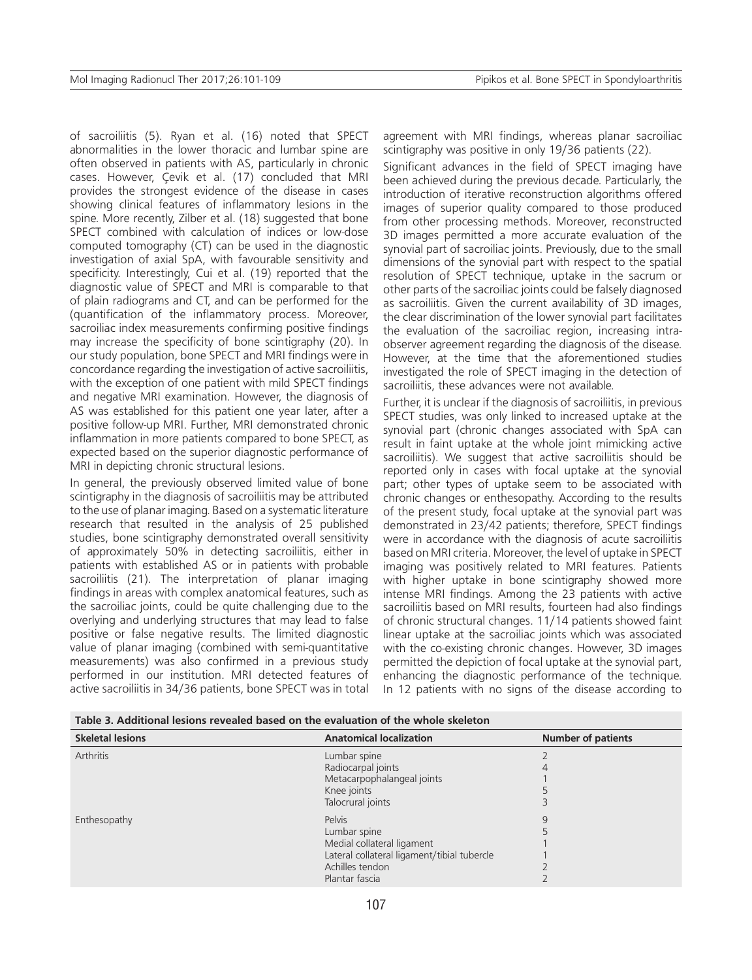of sacroiliitis (5). Ryan et al. (16) noted that SPECT abnormalities in the lower thoracic and lumbar spine are often observed in patients with AS, particularly in chronic cases. However, Çevik et al. (17) concluded that MRI provides the strongest evidence of the disease in cases showing clinical features of inflammatory lesions in the spine. More recently, Zilber et al. (18) suggested that bone SPECT combined with calculation of indices or low-dose computed tomography (CT) can be used in the diagnostic investigation of axial SpA, with favourable sensitivity and specificity. Interestingly, Cui et al. (19) reported that the diagnostic value of SPECT and MRI is comparable to that of plain radiograms and CT, and can be performed for the (quantification of the inflammatory process. Moreover, sacroiliac index measurements confirming positive findings may increase the specificity of bone scintigraphy (20). In our study population, bone SPECT and MRI findings were in concordance regarding the investigation of active sacroiliitis, with the exception of one patient with mild SPECT findings and negative MRI examination. However, the diagnosis of AS was established for this patient one year later, after a positive follow-up MRI. Further, MRI demonstrated chronic inflammation in more patients compared to bone SPECT, as expected based on the superior diagnostic performance of MRI in depicting chronic structural lesions.

In general, the previously observed limited value of bone scintigraphy in the diagnosis of sacroiliitis may be attributed to the use of planar imaging. Based on a systematic literature research that resulted in the analysis of 25 published studies, bone scintigraphy demonstrated overall sensitivity of approximately 50% in detecting sacroiliitis, either in patients with established AS or in patients with probable sacroiliitis (21). The interpretation of planar imaging findings in areas with complex anatomical features, such as the sacroiliac joints, could be quite challenging due to the overlying and underlying structures that may lead to false positive or false negative results. The limited diagnostic value of planar imaging (combined with semi-quantitative measurements) was also confirmed in a previous study performed in our institution. MRI detected features of active sacroiliitis in 34/36 patients, bone SPECT was in total agreement with MRI findings, whereas planar sacroiliac scintigraphy was positive in only 19/36 patients (22).

Significant advances in the field of SPECT imaging have been achieved during the previous decade. Particularly, the introduction of iterative reconstruction algorithms offered images of superior quality compared to those produced from other processing methods. Moreover, reconstructed 3D images permitted a more accurate evaluation of the synovial part of sacroiliac joints. Previously, due to the small dimensions of the synovial part with respect to the spatial resolution of SPECT technique, uptake in the sacrum or other parts of the sacroiliac joints could be falsely diagnosed as sacroiliitis. Given the current availability of 3D images, the clear discrimination of the lower synovial part facilitates the evaluation of the sacroiliac region, increasing intraobserver agreement regarding the diagnosis of the disease. However, at the time that the aforementioned studies investigated the role of SPECT imaging in the detection of sacroiliitis, these advances were not available.

Further, it is unclear if the diagnosis of sacroiliitis, in previous SPECT studies, was only linked to increased uptake at the synovial part (chronic changes associated with SpA can result in faint uptake at the whole joint mimicking active sacroiliitis). We suggest that active sacroiliitis should be reported only in cases with focal uptake at the synovial part; other types of uptake seem to be associated with chronic changes or enthesopathy. According to the results of the present study, focal uptake at the synovial part was demonstrated in 23/42 patients; therefore, SPECT findings were in accordance with the diagnosis of acute sacroiliitis based on MRI criteria. Moreover, the level of uptake in SPECT imaging was positively related to MRI features. Patients with higher uptake in bone scintigraphy showed more intense MRI findings. Among the 23 patients with active sacroiliitis based on MRI results, fourteen had also findings of chronic structural changes. 11/14 patients showed faint linear uptake at the sacroiliac joints which was associated with the co-existing chronic changes. However, 3D images permitted the depiction of focal uptake at the synovial part, enhancing the diagnostic performance of the technique. In 12 patients with no signs of the disease according to

| ווסוטווע אירוויוט וויידער וויטומענט וויט וויט וויט אירוויידע וויס מאט וויט אירוויט וויס אירוויס וויס אירוויס ו |                                             |                           |  |  |  |
|----------------------------------------------------------------------------------------------------------------|---------------------------------------------|---------------------------|--|--|--|
| <b>Skeletal lesions</b>                                                                                        | <b>Anatomical localization</b>              | <b>Number of patients</b> |  |  |  |
| <b>Arthritis</b>                                                                                               | Lumbar spine                                |                           |  |  |  |
|                                                                                                                | Radiocarpal joints                          |                           |  |  |  |
|                                                                                                                | Metacarpophalangeal joints                  |                           |  |  |  |
|                                                                                                                | Knee joints                                 |                           |  |  |  |
|                                                                                                                | Talocrural joints                           |                           |  |  |  |
| Enthesopathy                                                                                                   | Pelvis                                      | 9                         |  |  |  |
|                                                                                                                | Lumbar spine                                |                           |  |  |  |
|                                                                                                                | Medial collateral ligament                  |                           |  |  |  |
|                                                                                                                | Lateral collateral ligament/tibial tubercle |                           |  |  |  |
|                                                                                                                | Achilles tendon                             |                           |  |  |  |
|                                                                                                                | Plantar fascia                              |                           |  |  |  |

**Table 3. Additional lesions revealed based on the evaluation of the whole skeleton**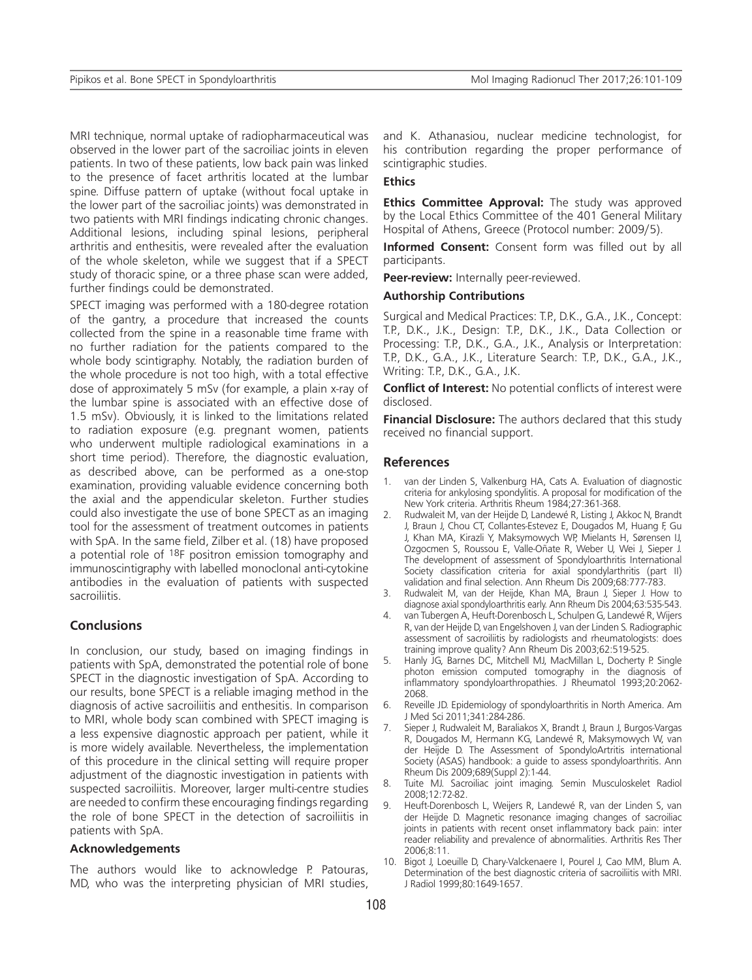MRI technique, normal uptake of radiopharmaceutical was observed in the lower part of the sacroiliac joints in eleven patients. In two of these patients, low back pain was linked to the presence of facet arthritis located at the lumbar spine. Diffuse pattern of uptake (without focal uptake in the lower part of the sacroiliac joints) was demonstrated in two patients with MRI findings indicating chronic changes. Additional lesions, including spinal lesions, peripheral arthritis and enthesitis, were revealed after the evaluation of the whole skeleton, while we suggest that if a SPECT study of thoracic spine, or a three phase scan were added, further findings could be demonstrated.

SPECT imaging was performed with a 180-degree rotation of the gantry, a procedure that increased the counts collected from the spine in a reasonable time frame with no further radiation for the patients compared to the whole body scintigraphy. Notably, the radiation burden of the whole procedure is not too high, with a total effective dose of approximately 5 mSv (for example, a plain x-ray of the lumbar spine is associated with an effective dose of 1.5 mSv). Obviously, it is linked to the limitations related to radiation exposure (e.g. pregnant women, patients who underwent multiple radiological examinations in a short time period). Therefore, the diagnostic evaluation, as described above, can be performed as a one-stop examination, providing valuable evidence concerning both the axial and the appendicular skeleton. Further studies could also investigate the use of bone SPECT as an imaging tool for the assessment of treatment outcomes in patients with SpA. In the same field, Zilber et al. (18) have proposed a potential role of 18F positron emission tomography and immunoscintigraphy with labelled monoclonal anti-cytokine antibodies in the evaluation of patients with suspected sacroiliitis.

## **Conclusions**

In conclusion, our study, based on imaging findings in patients with SpA, demonstrated the potential role of bone SPECT in the diagnostic investigation of SpA. According to our results, bone SPECT is a reliable imaging method in the diagnosis of active sacroiliitis and enthesitis. In comparison to MRI, whole body scan combined with SPECT imaging is a less expensive diagnostic approach per patient, while it is more widely available. Nevertheless, the implementation of this procedure in the clinical setting will require proper adjustment of the diagnostic investigation in patients with suspected sacroiliitis. Moreover, larger multi-centre studies are needed to confirm these encouraging findings regarding the role of bone SPECT in the detection of sacroiliitis in patients with SpA.

## **Acknowledgements**

The authors would like to acknowledge P. Patouras, MD, who was the interpreting physician of MRI studies, and K. Athanasiou, nuclear medicine technologist, for his contribution regarding the proper performance of scintigraphic studies.

## **Ethics**

**Ethics Committee Approval:** The study was approved by the Local Ethics Committee of the 401 General Military Hospital of Athens, Greece (Protocol number: 2009/5).

**Informed Consent:** Consent form was filled out by all participants.

**Peer-review:** Internally peer-reviewed.

#### **Authorship Contributions**

Surgical and Medical Practices: T.P., D.K., G.A., J.K., Concept: T.P., D.K., J.K., Design: T.P., D.K., J.K., Data Collection or Processing: T.P., D.K., G.A., J.K., Analysis or Interpretation: T.P., D.K., G.A., J.K., Literature Search: T.P., D.K., G.A., J.K., Writing: T.P., D.K., G.A., J.K.

**Conflict of Interest:** No potential conflicts of interest were disclosed.

**Financial Disclosure:** The authors declared that this study received no financial support.

#### **References**

- 1. van der Linden S, Valkenburg HA, Cats A. Evaluation of diagnostic criteria for ankylosing spondylitis. A proposal for modification of the New York criteria. Arthritis Rheum 1984;27:361-368.
- 2. Rudwaleit M, van der Heijde D, Landewé R, Listing J, Akkoc N, Brandt J, Braun J, Chou CT, Collantes-Estevez E, Dougados M, Huang F, Gu J, Khan MA, Kirazli Y, Maksymowych WP, Mielants H, Sørensen IJ, Ozgocmen S, Roussou E, Valle-Oñate R, Weber U, Wei J, Sieper J. The development of assessment of Spondyloarthritis International Society classification criteria for axial spondylarthritis (part II) validation and final selection. Ann Rheum Dis 2009;68:777-783.
- 3. Rudwaleit M, van der Heijde, Khan MA, Braun J, Sieper J. How to diagnose axial spondyloarthritis early. Ann Rheum Dis 2004;63:535-543.
- 4. van Tubergen A, Heuft-Dorenbosch L, Schulpen G, Landewé R, Wijers R, van der Heijde D, van Engelshoven J, van der Linden S. Radiographic assessment of sacroiliitis by radiologists and rheumatologists: does training improve quality? Ann Rheum Dis 2003;62:519-525.
- 5. Hanly JG, Barnes DC, Mitchell MJ, MacMillan L, Docherty P. Single photon emission computed tomography in the diagnosis of inflammatory spondyloarthropathies. J Rheumatol 1993;20:2062- 2068.
- 6. Reveille JD. Epidemiology of spondyloarthritis in North America. Am J Med Sci 2011;341:284-286.
- 7. Sieper J, Rudwaleit M, Baraliakos X, Brandt J, Braun J, Burgos-Vargas R, Dougados M, Hermann KG, Landewé R, Maksymowych W, van der Heijde D. The Assessment of SpondyloArtritis international Society (ASAS) handbook: a guide to assess spondyloarthritis. Ann Rheum Dis 2009;689(Suppl 2):1-44.
- 8. Tuite MJ. Sacroiliac joint imaging. Semin Musculoskelet Radiol 2008;12:72-82.
- 9. Heuft-Dorenbosch L, Weijers R, Landewé R, van der Linden S, van der Heijde D. Magnetic resonance imaging changes of sacroiliac joints in patients with recent onset inflammatory back pain: inter reader reliability and prevalence of abnormalities. Arthritis Res Ther 2006;8:11.
- 10. Bigot J, Loeuille D, Chary-Valckenaere I, Pourel J, Cao MM, Blum A. Determination of the best diagnostic criteria of sacroiliitis with MRI. J Radiol 1999;80:1649-1657.